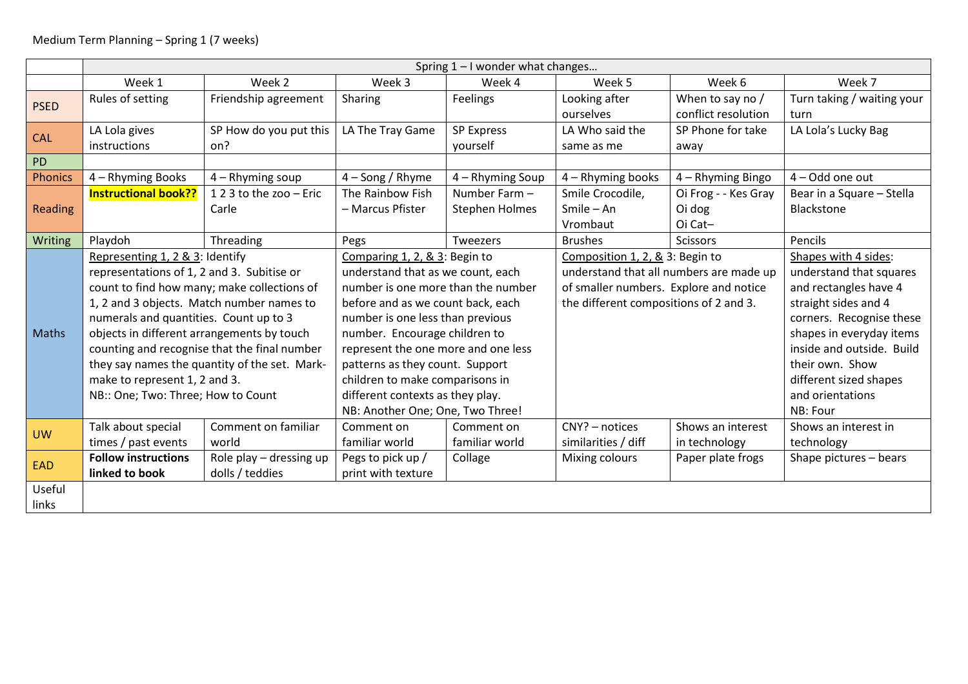|             | Spring $1 - 1$ wonder what changes            |                         |                                     |                       |                                         |                      |                            |  |  |  |
|-------------|-----------------------------------------------|-------------------------|-------------------------------------|-----------------------|-----------------------------------------|----------------------|----------------------------|--|--|--|
|             | Week 1                                        | Week 2                  | Week 3                              | Week 4                | Week 5                                  | Week 6               | Week 7                     |  |  |  |
| <b>PSED</b> | Rules of setting                              | Friendship agreement    | Sharing                             | Feelings              | Looking after                           | When to say no /     | Turn taking / waiting your |  |  |  |
|             |                                               |                         |                                     |                       | ourselves                               | conflict resolution  | turn                       |  |  |  |
| <b>CAL</b>  | LA Lola gives                                 | SP How do you put this  | LA The Tray Game                    | <b>SP Express</b>     | LA Who said the                         | SP Phone for take    | LA Lola's Lucky Bag        |  |  |  |
|             | instructions                                  | on?                     |                                     | yourself              | same as me                              | away                 |                            |  |  |  |
| PD          |                                               |                         |                                     |                       |                                         |                      |                            |  |  |  |
| Phonics     | 4 - Rhyming Books                             | $4 - R$ hyming soup     | 4 - Song / Rhyme                    | 4 - Rhyming Soup      | 4 - Rhyming books                       | 4 – Rhyming Bingo    | 4 - Odd one out            |  |  |  |
| Reading     | <b>Instructional book??</b>                   | 123 to the zoo - Eric   | The Rainbow Fish                    | Number Farm -         | Smile Crocodile,                        | Oi Frog - - Kes Gray | Bear in a Square - Stella  |  |  |  |
|             |                                               | Carle                   | - Marcus Pfister                    | <b>Stephen Holmes</b> | Smile - An                              | Oi dog               | Blackstone                 |  |  |  |
|             |                                               |                         |                                     |                       | Vrombaut                                | Oi Cat-              |                            |  |  |  |
| Writing     | Playdoh                                       | Threading               | Pegs                                | Tweezers              | <b>Brushes</b>                          | <b>Scissors</b>      | Pencils                    |  |  |  |
| Maths       | Representing 1, 2 & 3: Identify               |                         | Comparing 1, 2, & 3: Begin to       |                       | Composition 1, 2, & 3: Begin to         |                      | Shapes with 4 sides:       |  |  |  |
|             | representations of 1, 2 and 3. Subitise or    |                         | understand that as we count, each   |                       | understand that all numbers are made up |                      | understand that squares    |  |  |  |
|             | count to find how many; make collections of   |                         | number is one more than the number  |                       | of smaller numbers. Explore and notice  |                      | and rectangles have 4      |  |  |  |
|             | 1, 2 and 3 objects. Match number names to     |                         | before and as we count back, each   |                       | the different compositions of 2 and 3.  |                      | straight sides and 4       |  |  |  |
|             | numerals and quantities. Count up to 3        |                         | number is one less than previous    |                       |                                         |                      | corners. Recognise these   |  |  |  |
|             | objects in different arrangements by touch    |                         | number. Encourage children to       |                       |                                         |                      | shapes in everyday items   |  |  |  |
|             | counting and recognise that the final number  |                         | represent the one more and one less |                       |                                         |                      | inside and outside. Build  |  |  |  |
|             | they say names the quantity of the set. Mark- |                         | patterns as they count. Support     |                       |                                         |                      | their own. Show            |  |  |  |
|             | make to represent 1, 2 and 3.                 |                         | children to make comparisons in     |                       |                                         |                      | different sized shapes     |  |  |  |
|             | NB:: One; Two: Three; How to Count            |                         | different contexts as they play.    |                       |                                         |                      | and orientations           |  |  |  |
|             |                                               |                         | NB: Another One; One, Two Three!    |                       |                                         |                      | NB: Four                   |  |  |  |
| <b>UW</b>   | Talk about special                            | Comment on familiar     | Comment on                          | Comment on            | CNY? - notices                          | Shows an interest    | Shows an interest in       |  |  |  |
|             | times / past events                           | world                   | familiar world                      | familiar world        | similarities / diff                     | in technology        | technology                 |  |  |  |
| EAD         | <b>Follow instructions</b>                    | Role play - dressing up | Pegs to pick up /                   | Collage               | Mixing colours                          | Paper plate frogs    | Shape pictures - bears     |  |  |  |
|             | linked to book                                | dolls / teddies         | print with texture                  |                       |                                         |                      |                            |  |  |  |
| Useful      |                                               |                         |                                     |                       |                                         |                      |                            |  |  |  |
| links       |                                               |                         |                                     |                       |                                         |                      |                            |  |  |  |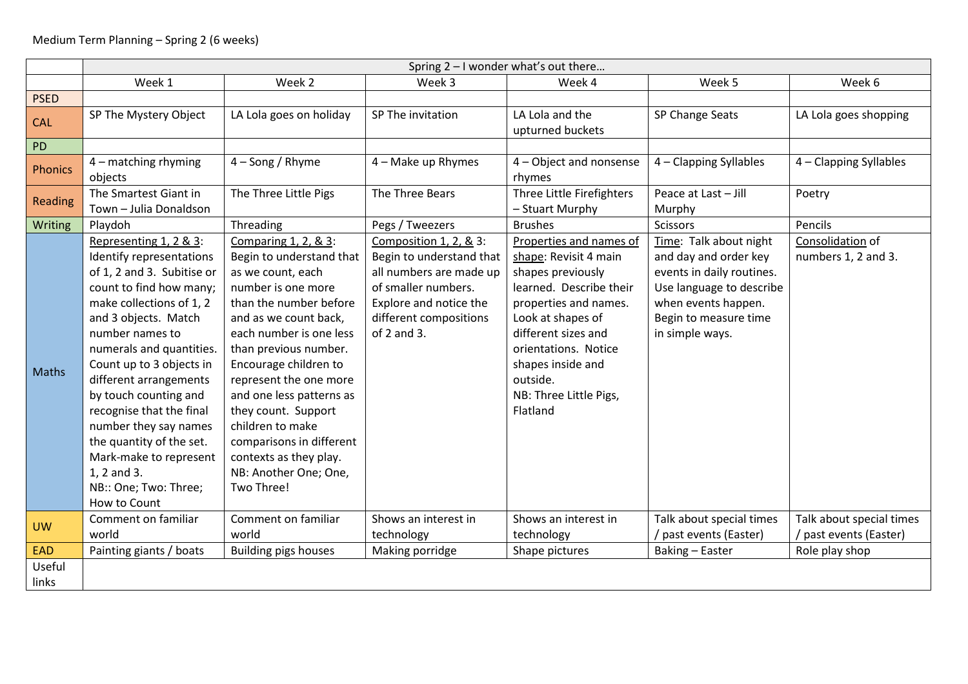|                 | Spring 2 - I wonder what's out there                                                                                                                                                                                                                                                                                                                                                                                                                             |                                                                                                                                                                                                                                                                                                                                                                                                                           |                                                                                                                                                                         |                                                                                                                                                                                                                                                                      |                                                                                                                                                                             |                                                    |  |  |  |  |
|-----------------|------------------------------------------------------------------------------------------------------------------------------------------------------------------------------------------------------------------------------------------------------------------------------------------------------------------------------------------------------------------------------------------------------------------------------------------------------------------|---------------------------------------------------------------------------------------------------------------------------------------------------------------------------------------------------------------------------------------------------------------------------------------------------------------------------------------------------------------------------------------------------------------------------|-------------------------------------------------------------------------------------------------------------------------------------------------------------------------|----------------------------------------------------------------------------------------------------------------------------------------------------------------------------------------------------------------------------------------------------------------------|-----------------------------------------------------------------------------------------------------------------------------------------------------------------------------|----------------------------------------------------|--|--|--|--|
|                 | Week 1                                                                                                                                                                                                                                                                                                                                                                                                                                                           | Week 2                                                                                                                                                                                                                                                                                                                                                                                                                    | Week 3                                                                                                                                                                  | Week 4                                                                                                                                                                                                                                                               | Week 5                                                                                                                                                                      | Week 6                                             |  |  |  |  |
| <b>PSED</b>     |                                                                                                                                                                                                                                                                                                                                                                                                                                                                  |                                                                                                                                                                                                                                                                                                                                                                                                                           |                                                                                                                                                                         |                                                                                                                                                                                                                                                                      |                                                                                                                                                                             |                                                    |  |  |  |  |
| <b>CAL</b>      | SP The Mystery Object                                                                                                                                                                                                                                                                                                                                                                                                                                            | LA Lola goes on holiday                                                                                                                                                                                                                                                                                                                                                                                                   | SP The invitation                                                                                                                                                       | LA Lola and the<br>upturned buckets                                                                                                                                                                                                                                  | SP Change Seats                                                                                                                                                             | LA Lola goes shopping                              |  |  |  |  |
| ${\sf PD}$      |                                                                                                                                                                                                                                                                                                                                                                                                                                                                  |                                                                                                                                                                                                                                                                                                                                                                                                                           |                                                                                                                                                                         |                                                                                                                                                                                                                                                                      |                                                                                                                                                                             |                                                    |  |  |  |  |
| <b>Phonics</b>  | $4$ – matching rhyming<br>objects                                                                                                                                                                                                                                                                                                                                                                                                                                | $4 -$ Song / Rhyme                                                                                                                                                                                                                                                                                                                                                                                                        | 4 - Make up Rhymes                                                                                                                                                      | 4 - Object and nonsense<br>rhymes                                                                                                                                                                                                                                    | 4 - Clapping Syllables                                                                                                                                                      | 4 - Clapping Syllables                             |  |  |  |  |
| Reading         | The Smartest Giant in<br>Town - Julia Donaldson                                                                                                                                                                                                                                                                                                                                                                                                                  | The Three Little Pigs                                                                                                                                                                                                                                                                                                                                                                                                     | The Three Bears                                                                                                                                                         | Three Little Firefighters<br>- Stuart Murphy                                                                                                                                                                                                                         | Peace at Last - Jill<br>Murphy                                                                                                                                              | Poetry                                             |  |  |  |  |
| Writing         | Playdoh                                                                                                                                                                                                                                                                                                                                                                                                                                                          | Threading                                                                                                                                                                                                                                                                                                                                                                                                                 | Pegs / Tweezers                                                                                                                                                         | <b>Brushes</b>                                                                                                                                                                                                                                                       | <b>Scissors</b>                                                                                                                                                             | Pencils                                            |  |  |  |  |
| <b>Maths</b>    | Representing 1, 2 & 3:<br>Identify representations<br>of 1, 2 and 3. Subitise or<br>count to find how many;<br>make collections of 1, 2<br>and 3 objects. Match<br>number names to<br>numerals and quantities.<br>Count up to 3 objects in<br>different arrangements<br>by touch counting and<br>recognise that the final<br>number they say names<br>the quantity of the set.<br>Mark-make to represent<br>1, 2 and 3.<br>NB:: One; Two: Three;<br>How to Count | Comparing 1, 2, & 3:<br>Begin to understand that<br>as we count, each<br>number is one more<br>than the number before<br>and as we count back,<br>each number is one less<br>than previous number.<br>Encourage children to<br>represent the one more<br>and one less patterns as<br>they count. Support<br>children to make<br>comparisons in different<br>contexts as they play.<br>NB: Another One; One,<br>Two Three! | Composition 1, 2, & 3:<br>Begin to understand that<br>all numbers are made up<br>of smaller numbers.<br>Explore and notice the<br>different compositions<br>of 2 and 3. | Properties and names of<br>shape: Revisit 4 main<br>shapes previously<br>learned. Describe their<br>properties and names.<br>Look at shapes of<br>different sizes and<br>orientations. Notice<br>shapes inside and<br>outside.<br>NB: Three Little Pigs,<br>Flatland | Time: Talk about night<br>and day and order key<br>events in daily routines.<br>Use language to describe<br>when events happen.<br>Begin to measure time<br>in simple ways. | Consolidation of<br>numbers 1, 2 and 3.            |  |  |  |  |
| <b>UW</b>       | Comment on familiar<br>world                                                                                                                                                                                                                                                                                                                                                                                                                                     | Comment on familiar<br>world                                                                                                                                                                                                                                                                                                                                                                                              | Shows an interest in<br>technology                                                                                                                                      | Shows an interest in<br>technology                                                                                                                                                                                                                                   | Talk about special times<br>/ past events (Easter)                                                                                                                          | Talk about special times<br>/ past events (Easter) |  |  |  |  |
| EAD             | Painting giants / boats                                                                                                                                                                                                                                                                                                                                                                                                                                          | <b>Building pigs houses</b>                                                                                                                                                                                                                                                                                                                                                                                               | Making porridge                                                                                                                                                         | Shape pictures                                                                                                                                                                                                                                                       | Baking - Easter                                                                                                                                                             | Role play shop                                     |  |  |  |  |
| Useful<br>links |                                                                                                                                                                                                                                                                                                                                                                                                                                                                  |                                                                                                                                                                                                                                                                                                                                                                                                                           |                                                                                                                                                                         |                                                                                                                                                                                                                                                                      |                                                                                                                                                                             |                                                    |  |  |  |  |